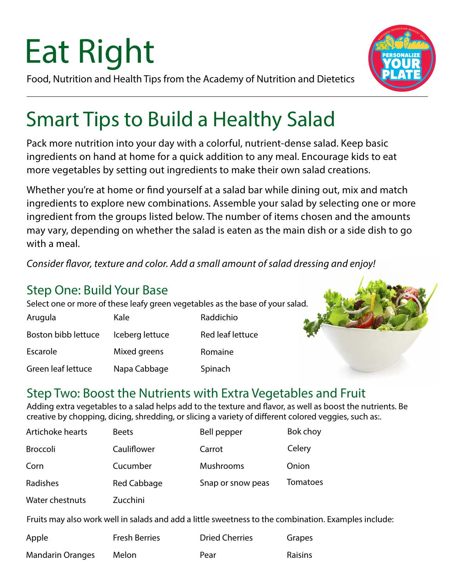# Eat Right

Food, Nutrition and Health Tips from the Academy of Nutrition and Dietetics



### Smart Tips to Build a Healthy Salad

Pack more nutrition into your day with a colorful, nutrient-dense salad. Keep basic ingredients on hand at home for a quick addition to any meal. Encourage kids to eat more vegetables by setting out ingredients to make their own salad creations.

Whether you're at home or find yourself at a salad bar while dining out, mix and match ingredients to explore new combinations. Assemble your salad by selecting one or more ingredient from the groups listed below. The number of items chosen and the amounts may vary, depending on whether the salad is eaten as the main dish or a side dish to go with a meal.

*Consider flavor, texture and color. Add a small amount of salad dressing and enjoy!*

### Step One: Build Your Base

Select one or more of these leafy green vegetables as the base of your salad.

| Arugula             | Kale            | Raddichio        |
|---------------------|-----------------|------------------|
| Boston bibb lettuce | Iceberg lettuce | Red leaf lettuce |
| Escarole            | Mixed greens    | Romaine          |
| Green leaf lettuce  | Napa Cabbage    | Spinach          |



### Step Two: Boost the Nutrients with Extra Vegetables and Fruit

Adding extra vegetables to a salad helps add to the texture and flavor, as well as boost the nutrients. Be creative by chopping, dicing, shredding, or slicing a variety of different colored veggies, such as:.

| Artichoke hearts | <b>Beets</b> | Bell pepper       | Bok choy        |
|------------------|--------------|-------------------|-----------------|
| <b>Broccoli</b>  | Cauliflower  | Carrot            | Celery          |
| Corn             | Cucumber     | Mushrooms         | Onion           |
| Radishes         | Red Cabbage  | Snap or snow peas | <b>Tomatoes</b> |

Water chestnuts Zucchini

Fruits may also work well in salads and add a little sweetness to the combination. Examples include:

| Apple                   | <b>Fresh Berries</b> | <b>Dried Cherries</b> | Grapes         |
|-------------------------|----------------------|-----------------------|----------------|
| <b>Mandarin Oranges</b> | Melon                | Pear                  | <b>Raisins</b> |